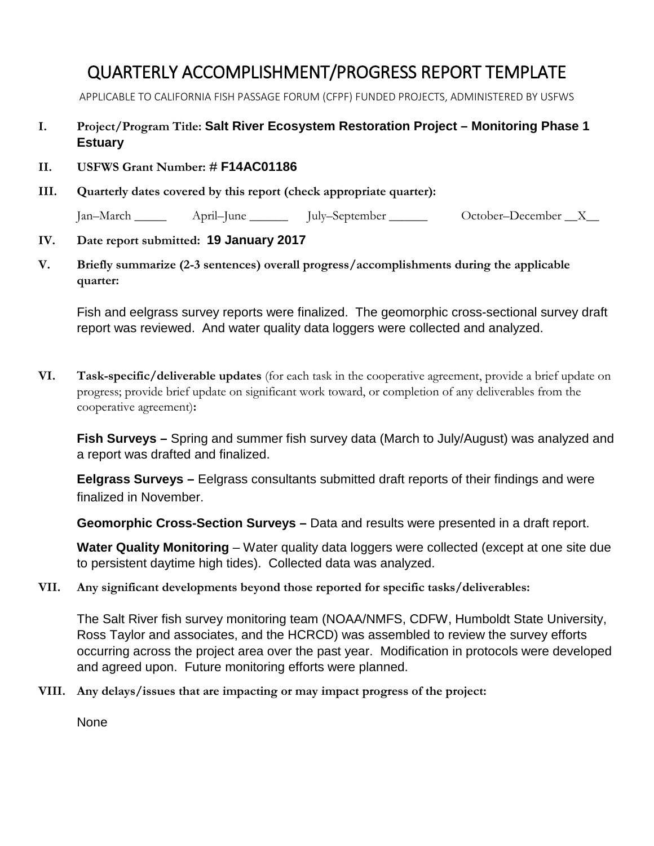## QUARTERLY ACCOMPLISHMENT/PROGRESS REPORT TEMPLATE

APPLICABLE TO CALIFORNIA FISH PASSAGE FORUM (CFPF) FUNDED PROJECTS, ADMINISTERED BY USFWS

## **I. Project/Program Title: Salt River Ecosystem Restoration Project – Monitoring Phase 1 Estuary**

- **II. USFWS Grant Number: # F14AC01186**
- **III. Quarterly dates covered by this report (check appropriate quarter):**

Jan–March \_\_\_\_\_ April–June \_\_\_\_\_\_ July–September \_\_\_\_\_\_ October–December \_\_X\_\_

## **IV. Date report submitted: 19 January 2017**

**V. Briefly summarize (2-3 sentences) overall progress/accomplishments during the applicable quarter:** 

Fish and eelgrass survey reports were finalized. The geomorphic cross-sectional survey draft report was reviewed. And water quality data loggers were collected and analyzed.

**VI. Task-specific/deliverable updates** (for each task in the cooperative agreement, provide a brief update on progress; provide brief update on significant work toward, or completion of any deliverables from the cooperative agreement)**:**

**Fish Surveys –** Spring and summer fish survey data (March to July/August) was analyzed and a report was drafted and finalized.

**Eelgrass Surveys –** Eelgrass consultants submitted draft reports of their findings and were finalized in November.

**Geomorphic Cross-Section Surveys –** Data and results were presented in a draft report.

**Water Quality Monitoring** – Water quality data loggers were collected (except at one site due to persistent daytime high tides). Collected data was analyzed.

**VII. Any significant developments beyond those reported for specific tasks/deliverables:**

The Salt River fish survey monitoring team (NOAA/NMFS, CDFW, Humboldt State University, Ross Taylor and associates, and the HCRCD) was assembled to review the survey efforts occurring across the project area over the past year. Modification in protocols were developed and agreed upon. Future monitoring efforts were planned.

**VIII. Any delays/issues that are impacting or may impact progress of the project:**

None